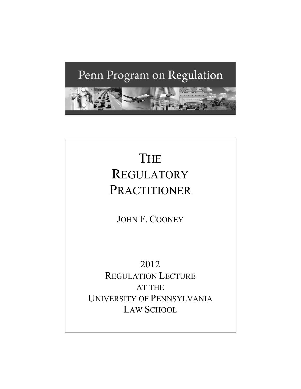# Penn Program on Regulation



# THE REGULATORY PRACTITIONER

JOHN F. COONEY

2012 REGULATION LECTURE AT THE UNIVERSITY OF PENNSYLVANIA LAW SCHOOL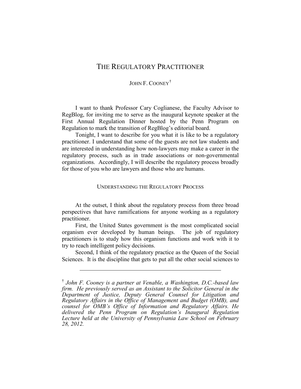### JOHN F. COONEY<sup>[†](#page-1-0)</sup>

I want to thank Professor Cary Coglianese, the Faculty Advisor to RegBlog, for inviting me to serve as the inaugural keynote speaker at the First Annual Regulation Dinner hosted by the Penn Program on Regulation to mark the transition of RegBlog's editorial board.

Tonight, I want to describe for you what it is like to be a regulatory practitioner. I understand that some of the guests are not law students and are interested in understanding how non-lawyers may make a career in the regulatory process, such as in trade associations or non-governmental organizations. Accordingly, I will describe the regulatory process broadly for those of you who are lawyers and those who are humans.

#### UNDERSTANDING THE REGULATORY PROCESS

At the outset, I think about the regulatory process from three broad perspectives that have ramifications for anyone working as a regulatory practitioner.

First, the United States government is the most complicated social organism ever developed by human beings. The job of regulatory practitioners is to study how this organism functions and work with it to try to reach intelligent policy decisions.

Second, I think of the regulatory practice as the Queen of the Social Sciences. It is the discipline that gets to put all the other social sciences to

 $\overline{a}$ 

<span id="page-1-0"></span><sup>†</sup> *John F. Cooney is a partner at Venable, a Washington, D.C.-based law firm. He previously served as an Assistant to the Solicitor General in the Department of Justice, Deputy General Counsel for Litigation and Regulatory Affairs in the Office of Management and Budget (OMB), and counsel for OMB's Office of Information and Regulatory Affairs. He delivered the Penn Program on Regulation's Inaugural Regulation Lecture held at the University of Pennsylvania Law School on February 28, 2012.*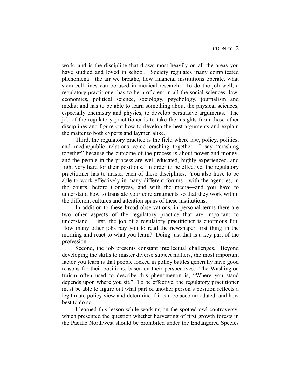work, and is the discipline that draws most heavily on all the areas you have studied and loved in school. Society regulates many complicated phenomena—the air we breathe, how financial institutions operate, what stem cell lines can be used in medical research. To do the job well, a regulatory practitioner has to be proficient in all the social sciences: law, economics, political science, sociology, psychology, journalism and media; and has to be able to learn something about the physical sciences, especially chemistry and physics, to develop persuasive arguments. The job of the regulatory practitioner is to take the insights from these other disciplines and figure out how to develop the best arguments and explain the matter to both experts and laymen alike.

Third, the regulatory practice is the field where law, policy, politics, and media/public relations come crashing together. I say "crashing together" because the outcome of the process is about power and money, and the people in the process are well-educated, highly experienced, and fight very hard for their positions. In order to be effective, the regulatory practitioner has to master each of these disciplines. You also have to be able to work effectively in many different forums—with the agencies, in the courts, before Congress, and with the media—and you have to understand how to translate your core arguments so that they work within the different cultures and attention spans of these institutions.

In addition to these broad observations, in personal terms there are two other aspects of the regulatory practice that are important to understand. First, the job of a regulatory practitioner is enormous fun. How many other jobs pay you to read the newspaper first thing in the morning and react to what you learn? Doing just that is a key part of the profession.

Second, the job presents constant intellectual challenges. Beyond developing the skills to master diverse subject matters, the most important factor you learn is that people locked in policy battles generally have good reasons for their positions, based on their perspectives. The Washington truism often used to describe this phenomenon is, "Where you stand depends upon where you sit." To be effective, the regulatory practitioner must be able to figure out what part of another person's position reflects a legitimate policy view and determine if it can be accommodated, and how best to do so.

I learned this lesson while working on the spotted owl controversy, which presented the question whether harvesting of first growth forests in the Pacific Northwest should be prohibited under the Endangered Species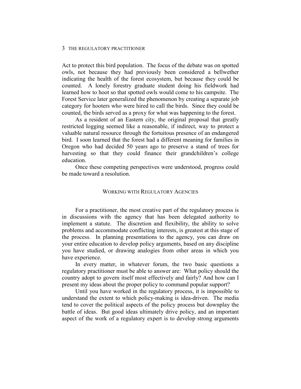Act to protect this bird population. The focus of the debate was on spotted owls, not because they had previously been considered a bellwether indicating the health of the forest ecosystem, but because they could be counted. A lonely forestry graduate student doing his fieldwork had learned how to hoot so that spotted owls would come to his campsite. The Forest Service later generalized the phenomenon by creating a separate job category for hooters who were hired to call the birds. Since they could be counted, the birds served as a proxy for what was happening to the forest.

As a resident of an Eastern city, the original proposal that greatly restricted logging seemed like a reasonable, if indirect, way to protect a valuable natural resource through the fortuitous presence of an endangered bird. I soon learned that the forest had a different meaning for families in Oregon who had decided 50 years ago to preserve a stand of trees for harvesting so that they could finance their grandchildren's college education.

Once these competing perspectives were understood, progress could be made toward a resolution.

#### WORKING WITH REGULATORY AGENCIES

For a practitioner, the most creative part of the regulatory process is in discussions with the agency that has been delegated authority to implement a statute. The discretion and flexibility, the ability to solve problems and accommodate conflicting interests, is greatest at this stage of the process. In planning presentations to the agency, you can draw on your entire education to develop policy arguments, based on any discipline you have studied, or drawing analogies from other areas in which you have experience.

In every matter, in whatever forum, the two basic questions a regulatory practitioner must be able to answer are: What policy should the country adopt to govern itself most effectively and fairly? And how can I present my ideas about the proper policy to command popular support?

Until you have worked in the regulatory process, it is impossible to understand the extent to which policy-making is idea-driven. The media tend to cover the political aspects of the policy process but downplay the battle of ideas. But good ideas ultimately drive policy, and an important aspect of the work of a regulatory expert is to develop strong arguments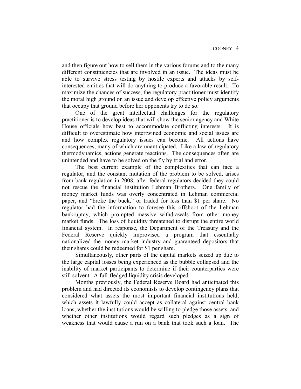and then figure out how to sell them in the various forums and to the many different constituencies that are involved in an issue. The ideas must be able to survive stress testing by hostile experts and attacks by selfinterested entities that will do anything to produce a favorable result. To maximize the chances of success, the regulatory practitioner must identify the moral high ground on an issue and develop effective policy arguments that occupy that ground before her opponents try to do so.

One of the great intellectual challenges for the regulatory practitioner is to develop ideas that will show the senior agency and White House officials how best to accommodate conflicting interests. It is difficult to overestimate how intertwined economic and social issues are and how complex regulatory issues can become. All actions have consequences, many of which are unanticipated. Like a law of regulatory thermodynamics, actions generate reactions. The consequences often are unintended and have to be solved on the fly by trial and error.

The best current example of the complexities that can face a regulator, and the constant mutation of the problem to be solved, arises from bank regulation in 2008, after federal regulators decided they could not rescue the financial institution Lehman Brothers. One family of money market funds was overly concentrated in Lehman commercial paper, and "broke the buck," or traded for less than \$1 per share. No regulator had the information to foresee this offshoot of the Lehman bankruptcy, which prompted massive withdrawals from other money market funds. The loss of liquidity threatened to disrupt the entire world financial system. In response, the Department of the Treasury and the Federal Reserve quickly improvised a program that essentially nationalized the money market industry and guaranteed depositors that their shares could be redeemed for \$1 per share.

Simultaneously, other parts of the capital markets seized up due to the large capital losses being experienced as the bubble collapsed and the inability of market participants to determine if their counterparties were still solvent. A full-fledged liquidity crisis developed.

Months previously, the Federal Reserve Board had anticipated this problem and had directed its economists to develop contingency plans that considered what assets the most important financial institutions held, which assets it lawfully could accept as collateral against central bank loans, whether the institutions would be willing to pledge those assets, and whether other institutions would regard such pledges as a sign of weakness that would cause a run on a bank that took such a loan. The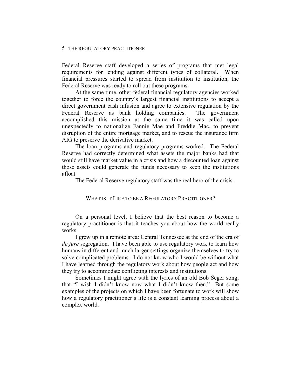Federal Reserve staff developed a series of programs that met legal requirements for lending against different types of collateral. When financial pressures started to spread from institution to institution, the Federal Reserve was ready to roll out these programs.

At the same time, other federal financial regulatory agencies worked together to force the country's largest financial institutions to accept a direct government cash infusion and agree to extensive regulation by the Federal Reserve as bank holding companies. The government accomplished this mission at the same time it was called upon unexpectedly to nationalize Fannie Mae and Freddie Mac, to prevent disruption of the entire mortgage market, and to rescue the insurance firm AIG to preserve the derivative market.

The loan programs and regulatory programs worked. The Federal Reserve had correctly determined what assets the major banks had that would still have market value in a crisis and how a discounted loan against those assets could generate the funds necessary to keep the institutions afloat.

The Federal Reserve regulatory staff was the real hero of the crisis.

#### WHAT IS IT LIKE TO BE A REGULATORY PRACTITIONER?

On a personal level, I believe that the best reason to become a regulatory practitioner is that it teaches you about how the world really works.

I grew up in a remote area: Central Tennessee at the end of the era of *de jure* segregation. I have been able to use regulatory work to learn how humans in different and much larger settings organize themselves to try to solve complicated problems. I do not know who I would be without what I have learned through the regulatory work about how people act and how they try to accommodate conflicting interests and institutions.

Sometimes I might agree with the lyrics of an old Bob Seger song, that "I wish I didn't know now what I didn't know then." But some examples of the projects on which I have been fortunate to work will show how a regulatory practitioner's life is a constant learning process about a complex world.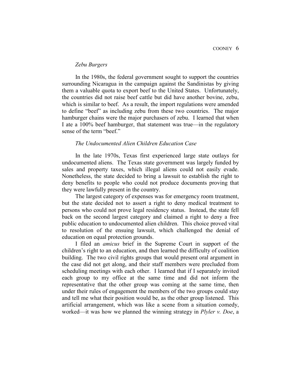#### *Zebu Burgers*

In the 1980s, the federal government sought to support the countries surrounding Nicaragua in the campaign against the Sandinistas by giving them a valuable quota to export beef to the United States. Unfortunately, the countries did not raise beef cattle but did have another bovine, zebu, which is similar to beef. As a result, the import regulations were amended to define "beef" as including zebu from these two countries. The major hamburger chains were the major purchasers of zebu. I learned that when I ate a 100% beef hamburger, that statement was true—in the regulatory sense of the term "beef."

#### *The Undocumented Alien Children Education Case*

In the late 1970s, Texas first experienced large state outlays for undocumented aliens. The Texas state government was largely funded by sales and property taxes, which illegal aliens could not easily evade. Nonetheless, the state decided to bring a lawsuit to establish the right to deny benefits to people who could not produce documents proving that they were lawfully present in the country.

The largest category of expenses was for emergency room treatment, but the state decided not to assert a right to deny medical treatment to persons who could not prove legal residency status. Instead, the state fell back on the second largest category and claimed a right to deny a free public education to undocumented alien children. This choice proved vital to resolution of the ensuing lawsuit, which challenged the denial of education on equal protection grounds.

I filed an *amicus* brief in the Supreme Court in support of the children's right to an education, and then learned the difficulty of coalition building. The two civil rights groups that would present oral argument in the case did not get along, and their staff members were precluded from scheduling meetings with each other. I learned that if I separately invited each group to my office at the same time and did not inform the representative that the other group was coming at the same time, then under their rules of engagement the members of the two groups could stay and tell me what their position would be, as the other group listened. This artificial arrangement, which was like a scene from a situation comedy, worked—it was how we planned the winning strategy in *Plyler v. Doe*, a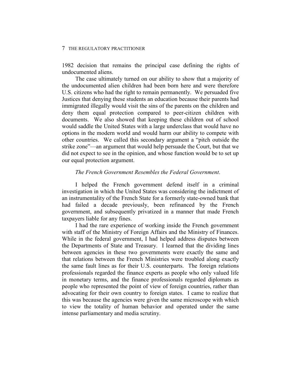1982 decision that remains the principal case defining the rights of undocumented aliens.

The case ultimately turned on our ability to show that a majority of the undocumented alien children had been born here and were therefore U.S. citizens who had the right to remain permanently. We persuaded five Justices that denying these students an education because their parents had immigrated illegally would visit the sins of the parents on the children and deny them equal protection compared to peer-citizen children with documents. We also showed that keeping these children out of school would saddle the United States with a large underclass that would have no options in the modern world and would harm our ability to compete with other countries. We called this secondary argument a "pitch outside the strike zone"—an argument that would help persuade the Court, but that we did not expect to see in the opinion, and whose function would be to set up our equal protection argument.

#### *The French Government Resembles the Federal Government*.

I helped the French government defend itself in a criminal investigation in which the United States was considering the indictment of an instrumentality of the French State for a formerly state-owned bank that had failed a decade previously, been refinanced by the French government, and subsequently privatized in a manner that made French taxpayers liable for any fines.

I had the rare experience of working inside the French government with staff of the Ministry of Foreign Affairs and the Ministry of Finances. While in the federal government, I had helped address disputes between the Departments of State and Treasury. I learned that the dividing lines between agencies in these two governments were exactly the same and that relations between the French Ministries were troubled along exactly the same fault lines as for their U.S. counterparts. The foreign relations professionals regarded the finance experts as people who only valued life in monetary terms, and the finance professionals regarded diplomats as people who represented the point of view of foreign countries, rather than advocating for their own country to foreign states. I came to realize that this was because the agencies were given the same microscope with which to view the totality of human behavior and operated under the same intense parliamentary and media scrutiny.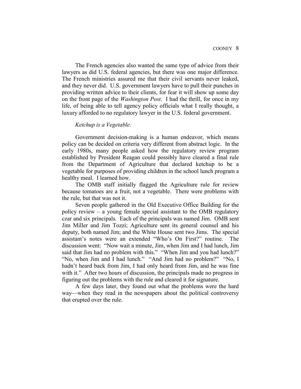The French agencies also wanted the same type of advice from their lawyers as did U.S. federal agencies, but there was one major difference. The French ministries assured me that their civil servants never leaked, and they never did. U.S. government lawyers have to pull their punches in providing written advice to their clients, for fear it will show up some day on the front page of the *Washington Post*. I had the thrill, for once in my life, of being able to tell agency policy officials what I really thought, a luxury afforded to no regulatory lawyer in the U.S. federal government.

#### *Ketchup is a Vegetable*.

Government decision-making is a human endeavor, which means policy can be decided on criteria very different from abstract logic. In the early 1980s, many people asked how the regulatory review program established by President Reagan could possibly have cleared a final rule from the Department of Agriculture that declared ketchup to be a vegetable for purposes of providing children in the school lunch program a healthy meal. I learned how.

The OMB staff initially flagged the Agriculture rule for review because tomatoes are a fruit, not a vegetable. There were problems with the rule, but that was not it.

Seven people gathered in the Old Executive Office Building for the policy review – a young female special assistant to the OMB regulatory czar and six principals. Each of the principals was named Jim. OMB sent Jim Miller and Jim Tozzi; Agriculture sent its general counsel and his deputy, both named Jim; and the White House sent two Jims. The special assistant's notes were an extended "Who's On First?" routine. The discussion went: "Now wait a minute, Jim, when Jim and I had lunch, Jim said that Jim had no problem with this." "When Jim and you had lunch?" "No, when Jim and I had lunch." "And Jim had no problem?" "No, I hadn't heard back from Jim, I had only heard from Jim, and he was fine with it." After two hours of discussion, the principals made no progress in figuring out the problems with the rule and cleared it for signature.

A few days later, they found out what the problems were the hard way—when they read in the newspapers about the political controversy that erupted over the rule.